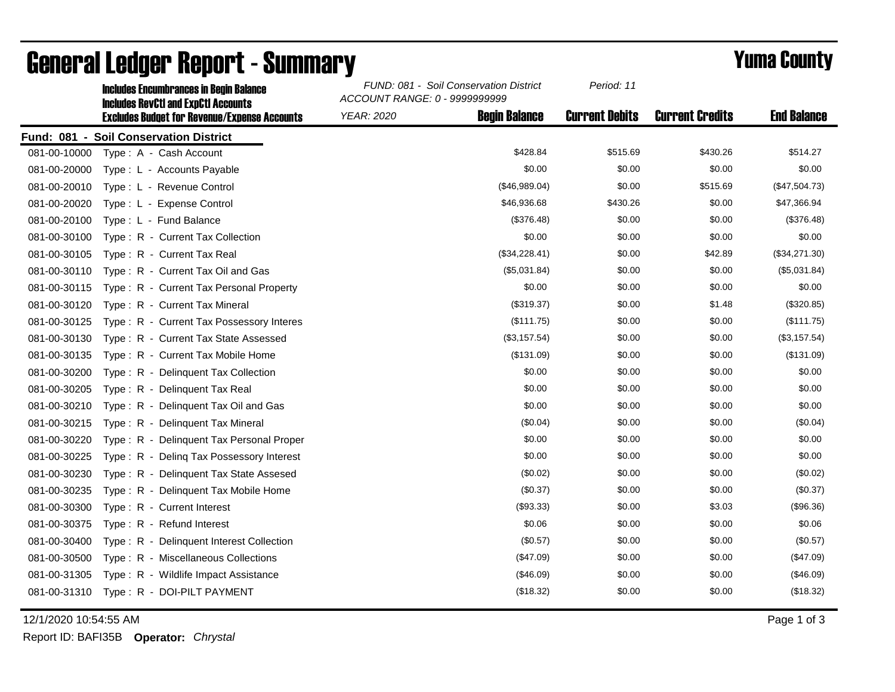|              | <b>Includes Encumbrances in Begin Balance</b><br><b>Includes RevCtI and ExpCtI Accounts</b> | FUND: 081 - Soil Conservation District<br>ACCOUNT RANGE: 0 - 9999999999 |                      | Period: 11            |                        |                    |
|--------------|---------------------------------------------------------------------------------------------|-------------------------------------------------------------------------|----------------------|-----------------------|------------------------|--------------------|
|              | <b>Excludes Budget for Revenue/Expense Accounts</b>                                         | <b>YEAR: 2020</b>                                                       | <b>Begin Balance</b> | <b>Current Debits</b> | <b>Current Credits</b> | <b>End Balance</b> |
|              | Fund: 081 - Soil Conservation District                                                      |                                                                         |                      |                       |                        |                    |
| 081-00-10000 | Type: A - Cash Account                                                                      |                                                                         | \$428.84             | \$515.69              | \$430.26               | \$514.27           |
| 081-00-20000 | Type: L - Accounts Payable                                                                  |                                                                         | \$0.00               | \$0.00                | \$0.00                 | \$0.00             |
| 081-00-20010 | Type: L - Revenue Control                                                                   |                                                                         | (\$46,989.04)        | \$0.00                | \$515.69               | (\$47,504.73)      |
| 081-00-20020 | Type: L - Expense Control                                                                   |                                                                         | \$46,936.68          | \$430.26              | \$0.00                 | \$47,366.94        |
| 081-00-20100 | Type: L - Fund Balance                                                                      |                                                                         | (\$376.48)           | \$0.00                | \$0.00                 | (\$376.48)         |
| 081-00-30100 | Type: R - Current Tax Collection                                                            |                                                                         | \$0.00               | \$0.00                | \$0.00                 | \$0.00             |
| 081-00-30105 | Type: R - Current Tax Real                                                                  |                                                                         | (\$34,228.41)        | \$0.00                | \$42.89                | (\$34,271.30)      |
| 081-00-30110 | Type: R - Current Tax Oil and Gas                                                           |                                                                         | (\$5,031.84)         | \$0.00                | \$0.00                 | (\$5,031.84)       |
| 081-00-30115 | Type: R - Current Tax Personal Property                                                     |                                                                         | \$0.00               | \$0.00                | \$0.00                 | \$0.00             |
| 081-00-30120 | Type: R - Current Tax Mineral                                                               |                                                                         | (\$319.37)           | \$0.00                | \$1.48                 | (\$320.85)         |
| 081-00-30125 | Type: R - Current Tax Possessory Interes                                                    |                                                                         | (\$111.75)           | \$0.00                | \$0.00                 | (\$111.75)         |
| 081-00-30130 | Type: R - Current Tax State Assessed                                                        |                                                                         | (\$3,157.54)         | \$0.00                | \$0.00                 | (\$3,157.54)       |
| 081-00-30135 | Type: R - Current Tax Mobile Home                                                           |                                                                         | (\$131.09)           | \$0.00                | \$0.00                 | (\$131.09)         |
| 081-00-30200 | Type: R - Delinquent Tax Collection                                                         |                                                                         | \$0.00               | \$0.00                | \$0.00                 | \$0.00             |
| 081-00-30205 | Type: R - Delinquent Tax Real                                                               |                                                                         | \$0.00               | \$0.00                | \$0.00                 | \$0.00             |
| 081-00-30210 | Type: R - Delinquent Tax Oil and Gas                                                        |                                                                         | \$0.00               | \$0.00                | \$0.00                 | \$0.00             |
| 081-00-30215 | Type: R - Delinquent Tax Mineral                                                            |                                                                         | (\$0.04)             | \$0.00                | \$0.00                 | (\$0.04)           |
| 081-00-30220 | Type: R - Delinquent Tax Personal Proper                                                    |                                                                         | \$0.00               | \$0.00                | \$0.00                 | \$0.00             |
| 081-00-30225 | Type: R - Deling Tax Possessory Interest                                                    |                                                                         | \$0.00               | \$0.00                | \$0.00                 | \$0.00             |
| 081-00-30230 | Type: R - Delinguent Tax State Assesed                                                      |                                                                         | (\$0.02)             | \$0.00                | \$0.00                 | (\$0.02)           |
| 081-00-30235 | Type: R - Delinquent Tax Mobile Home                                                        |                                                                         | (\$0.37)             | \$0.00                | \$0.00                 | (\$0.37)           |
| 081-00-30300 | Type: R - Current Interest                                                                  |                                                                         | (\$93.33)            | \$0.00                | \$3.03                 | (\$96.36)          |
| 081-00-30375 | Type: R - Refund Interest                                                                   |                                                                         | \$0.06               | \$0.00                | \$0.00                 | \$0.06             |
| 081-00-30400 | Type: R - Delinquent Interest Collection                                                    |                                                                         | (\$0.57)             | \$0.00                | \$0.00                 | (\$0.57)           |
| 081-00-30500 | Type: R - Miscellaneous Collections                                                         |                                                                         | (\$47.09)            | \$0.00                | \$0.00                 | (\$47.09)          |
| 081-00-31305 | Type: R - Wildlife Impact Assistance                                                        |                                                                         | $(\$46.09)$          | \$0.00                | \$0.00                 | (\$46.09)          |
|              | 081-00-31310 Type: R - DOI-PILT PAYMENT                                                     |                                                                         | (\$18.32)            | \$0.00                | \$0.00                 | (\$18.32)          |

## General Ledger Report - Summary **Example 2018** Yuma County

12/1/2020 10:54:55 AM Page 1 of 3

Report ID: BAFI35B **Operator:** *Chrystal*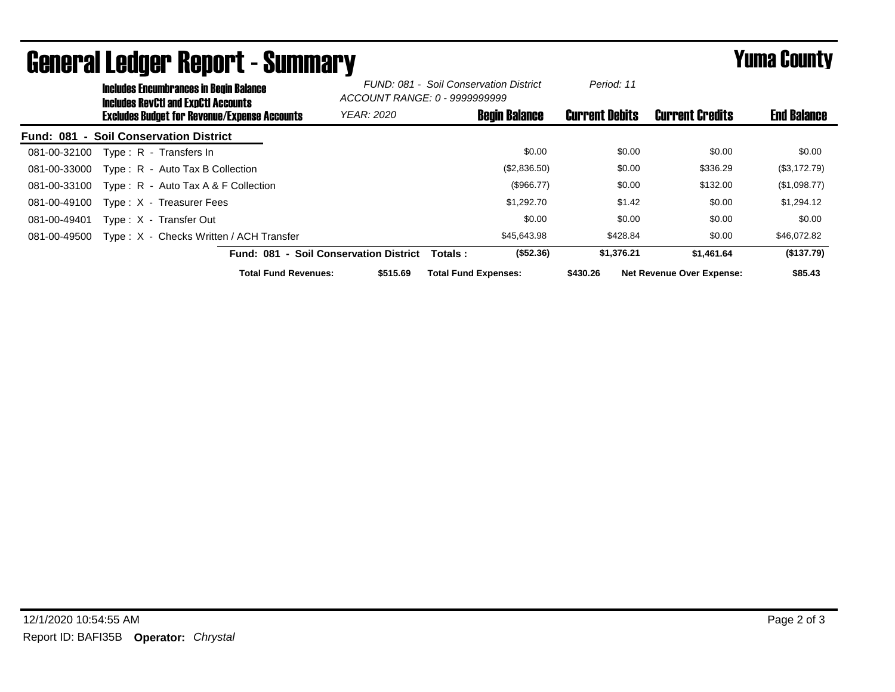|                  | <b>Includes Encumbrances in Begin Balance</b><br><b>Includes RevCtI and ExpCtI Accounts</b> |                                                     | FUND: 081 - Soil Conservation District<br>ACCOUNT RANGE: 0 - 9999999999 |                             | Period: 11           |                       |                                  |                    |
|------------------|---------------------------------------------------------------------------------------------|-----------------------------------------------------|-------------------------------------------------------------------------|-----------------------------|----------------------|-----------------------|----------------------------------|--------------------|
|                  |                                                                                             | <b>Excludes Budget for Revenue/Expense Accounts</b> | <b>YEAR: 2020</b>                                                       |                             | <b>Begin Balance</b> | <b>Current Debits</b> | <b>Current Credits</b>           | <b>End Balance</b> |
| <b>Fund: 081</b> |                                                                                             | - Soil Conservation District                        |                                                                         |                             |                      |                       |                                  |                    |
| 081-00-32100     |                                                                                             | Type: R - Transfers In                              |                                                                         |                             | \$0.00               | \$0.00                | \$0.00                           | \$0.00             |
| 081-00-33000     |                                                                                             | Type: R - Auto Tax B Collection                     |                                                                         |                             | (\$2,836.50)         | \$0.00                | \$336.29                         | (\$3,172.79)       |
| 081-00-33100     |                                                                                             | Type: $R -$ Auto Tax A & F Collection               |                                                                         |                             | (\$966.77)           | \$0.00                | \$132.00                         | (\$1,098.77)       |
| 081-00-49100     |                                                                                             | Type: X - Treasurer Fees                            |                                                                         |                             | \$1,292.70           | \$1.42                | \$0.00                           | \$1,294.12         |
| 081-00-49401     |                                                                                             | Type: X - Transfer Out                              |                                                                         |                             | \$0.00               | \$0.00                | \$0.00                           | \$0.00             |
| 081-00-49500     |                                                                                             | Type: X - Checks Written / ACH Transfer             |                                                                         |                             | \$45,643.98          | \$428.84              | \$0.00                           | \$46,072.82        |
|                  |                                                                                             | Fund: 081 - Soil Conservation District              |                                                                         | Totals:                     | (\$52.36)            | \$1,376.21            | \$1,461.64                       | (\$137.79)         |
|                  |                                                                                             | <b>Total Fund Revenues:</b>                         | \$515.69                                                                | <b>Total Fund Expenses:</b> |                      | \$430.26              | <b>Net Revenue Over Expense:</b> | \$85.43            |

## General Ledger Report - Summary **Example 2018** Yuma County